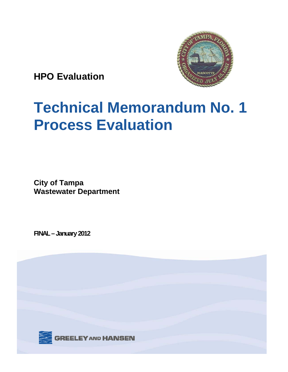

**HPO Evaluation** 

## **Technical Memorandum No. 1 Process Evaluation**

**City of Tampa Wastewater Department** 

**FINAL – January 2012** 

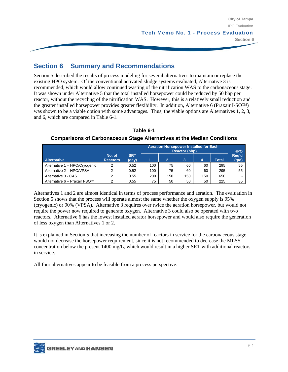# Fection 6 Summary and Recommendations

Section 5 described the results of process modeling for several alternatives to maintain or replace the existing HPO system. Of the conventional activated sludge systems evaluated, Alternative 3 is recommended, which would allow continued wasting of the nitrification WAS to the carbonaceous stage. It was shown under Alternative 5 that the total installed horsepower could be reduced by 50 bhp per reactor, without the recycling of the nitrification WAS. However, this is a relatively small reduction and the greater installed horsepower provides greater flexibility. In addition, Alternative 6 (Praxair I-SO™) was shown to be a viable option with some advantages. Thus, the viable options are Alternatives 1, 2, 3, and 6, which are compared in Table 6-1.

**SRT (day) Aeration Horsepower Installed for Each Reactor (bhp) HPO Req'd**  Alternative | Reactors | (day) | 1 | 2 | 3 | 4 | Total | (tpd) **No. of Reactors | (day) | 1 | 2 | 3 | 4 | Total** Alternative 1 – HPO/Crvogenic | 2 | 0.52 | 100 | 75 | 60 | 60 | 295 | 55 Alternative 2 – HPO/VPSA 2 0.52 100 75 60 60 295 55 Alternative 3 - CAS 2 0.55 200 150 150 150 650 - Alternative 6 – Praxair I-SO™ | 2 | 0.55 | 75 | 50 | 50 | 50 | 225 | 35

**Table 6-1 Comparisons of Carbonaceous Stage Alternatives at the Median Conditions** 

Alternatives 1 and 2 are almost identical in terms of process performance and aeration. The evaluation in Section 5 shows that the process will operate almost the same whether the oxygen supply is 95% (cryogenic) or 90% (VPSA). Alternative 3 requires over twice the aeration horsepower, but would not require the power now required to generate oxygen. Alternative 3 could also be operated with two reactors. Alternative 6 has the lowest installed aerator horsepower and would also require the generation of less oxygen than Alternatives 1 or 2.

It is explained in Section 5 that increasing the number of reactors in service for the carbonaceous stage would not decrease the horsepower requirement, since it is not recommended to decrease the MLSS concentration below the present 1400 mg/L, which would result in a higher SRT with additional reactors in service.

All four alternatives appear to be feasible from a process perspective.

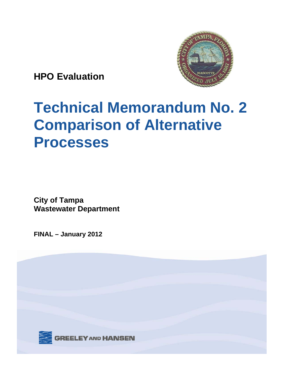

**HPO Evaluation** 

## **Technical Memorandum No. 2 Comparison of Alternative Processes**

**City of Tampa Wastewater Department** 

**FINAL – January 2012** 

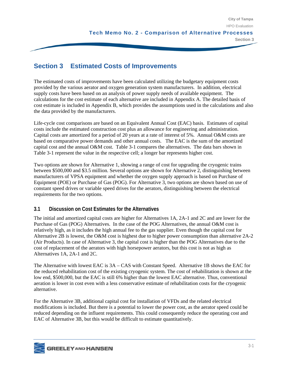# **Example 2 Section 3 Section 3 Section 3 Section 3 Section 3 Section 3 Section 3 Section 3 Section 3 Section 3 Section 3 Section 3 Section 3 Section 3 Section 3 Section 3 Section 3 Section 3 Section 3 Section 3 Section 3 S**

The estimated costs of improvements have been calculated utilizing the budgetary equipment costs provided by the various aerator and oxygen generation system manufacturers. In addition, electrical supply costs have been based on an analysis of power supply needs of available equipment. The calculations for the cost estimate of each alternative are included in Appendix A. The detailed basis of cost estimate is included in Appendix B, which provides the assumptions used in the calculations and also the data provided by the manufacturers.

Life-cycle cost comparisons are based on an Equivalent Annual Cost (EAC) basis. Estimates of capital costs include the estimated construction cost plus an allowance for engineering and administration. Capital costs are amortized for a period of 20 years at a rate of interest of 5%. Annual O&M costs are based on comparative power demands and other annual costs. The EAC is the sum of the amortized capital cost and the annual O&M cost. Table 3-1 compares the alternatives. The data bars shown in Table 3-1 represent the value in the respective cell; a longer bar represents higher cost.

Two options are shown for Alternative 1, showing a range of cost for upgrading the cryogenic trains between \$500,000 and \$3.5 million. Several options are shown for Alternative 2, distinguishing between manufacturers of VPSA equipment and whether the oxygen supply approach is based on Purchase of Equipment (POE) or Purchase of Gas (POG). For Alternative 3, two options are shown based on use of constant speed drives or variable speed drives for the aerators, distinguishing between the electrical requirements for the two options.

#### **3.1 Discussion on Cost Estimates for the Alternatives**

The initial and amortized capital costs are higher for Alternatives 1A, 2A-1 and 2C and are lower for the Purchase of Gas (POG) Alternatives. In the case of the POG Alternatives, the annual O&M cost is relatively high, as it includes the high annual fee to the gas supplier. Even though the capital cost for Alternative 2B is lowest, the O&M cost is highest due to higher power consumption than alternative 2A-2 (Air Products). In case of Alternative 3, the capital cost is higher than the POG Alternatives due to the cost of replacement of the aerators with high horsepower aerators, but this cost is not as high as Alternatives 1A, 2A-1 and 2C.

The Alternative with lowest EAC is 3A – CAS with Constant Speed. Alternative 1B shows the EAC for the reduced rehabilitation cost of the existing cryogenic system. The cost of rehabilitation is shown at the low end, \$500,000, but the EAC is still 6% higher than the lowest EAC alternative. Thus, conventional aeration is lower in cost even with a less conservative estimate of rehabilitation costs for the cryogenic alternative.

For the Alternative 3B, additional capital cost for installation of VFDs and the related electrical modifications is included. But there is a potential to lower the power cost, as the aerator speed could be reduced depending on the influent requirements. This could consequently reduce the operating cost and EAC of Alternative 3B, but this would be difficult to estimate quantitatively.

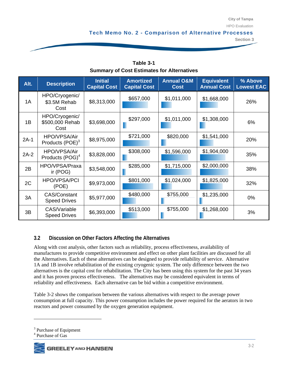**Section 3** 

|                                                   | Section 3 |
|---------------------------------------------------|-----------|
|                                                   |           |
|                                                   |           |
| Table 3-1                                         |           |
| <b>Summary of Cost Estimates for Alternatives</b> |           |

| Alt.   | <b>Description</b>                          | <b>Initial</b><br><b>Capital Cost</b> | <b>Amortized</b><br><b>Capital Cost</b> | <b>Annual O&amp;M</b><br><b>Cost</b> | <b>Equivalent</b><br><b>Annual Cost</b> | % Above<br><b>Lowest EAC</b> |
|--------|---------------------------------------------|---------------------------------------|-----------------------------------------|--------------------------------------|-----------------------------------------|------------------------------|
| 1A     | HPO/Cryogenic/<br>\$3.5M Rehab<br>Cost      | \$8,313,000                           | \$657,000                               | \$1,011,000                          | \$1,668,000                             | 26%                          |
| 1B     | HPO/Cryogenic/<br>\$500,000 Rehab<br>Cost   | \$3,698,000                           | \$297,000                               | \$1,011,000                          | \$1,308,000                             | 6%                           |
| $2A-1$ | HPO/VPSA/Air<br>Products $(POE)^3$          | \$8,975,000                           | \$721,000                               | \$820,000                            | \$1,541,000                             | 20%                          |
| $2A-2$ | HPO/VPSA/Air<br>Products (POG) <sup>4</sup> | \$3,828,000                           | \$308,000                               | \$1,596,000                          | \$1,904,000                             | 35%                          |
| 2B     | HPO/VPSA/Praxa<br>ir $(POG)$                | \$3,548,000                           | \$285,000                               | \$1,715,000                          | \$2,000,000                             | 38%                          |
| 2C     | <b>HPO/VPSA/PCI</b><br>(POE)                | \$9,973,000                           | \$801,000                               | \$1,024,000                          | \$1,825,000                             | 32%                          |
| 3A     | <b>CAS/Constant</b><br><b>Speed Drives</b>  | \$5,977,000                           | \$480,000                               | \$755,000                            | \$1,235,000                             | 0%                           |
| 3B     | CAS/Variable<br><b>Speed Drives</b>         | \$6,393,000                           | \$513,000                               | \$755,000                            | \$1,268,000                             | 3%                           |

### **3.2 Discussion on Other Factors Affecting the Alternatives**

Along with cost analysis, other factors such as reliability, process effectiveness, availability of manufactures to provide competitive environment and effect on other plant facilities are discussed for all the Alternatives. Each of these alternatives can be designed to provide reliability of service. Alternative 1A and 1B involve rehabilitation of the existing cryogenic system. The only difference between the two alternatives is the capital cost for rehabilitation. The City has been using this system for the past 34 years and it has proven process effectiveness. The alternatives may be considered equivalent in terms of reliability and effectiveness. Each alternative can be bid within a competitive environment.

Table 3-2 shows the comparison between the various alternatives with respect to the average power consumption at full capacity. This power consumption includes the power required for the aerators in two reactors and power consumed by the oxygen generation equipment.



1

<sup>&</sup>lt;sup>3</sup> Purchase of Equipment

<sup>4</sup> Purchase of Gas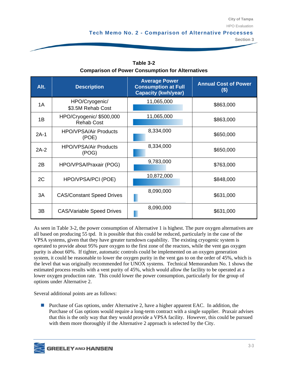**Section 3** 

| Alt.   | <b>Description</b>                            | <b>Average Power</b><br><b>Consumption at Full</b><br><b>Capacity (kwh/year)</b> | <b>Annual Cost of Power</b><br>$(\$)$ |  |
|--------|-----------------------------------------------|----------------------------------------------------------------------------------|---------------------------------------|--|
| 1A     | HPO/Cryogenic/<br>\$3.5M Rehab Cost           | 11,065,000                                                                       | \$863,000                             |  |
| 1B     | HPO/Cryogenic/ \$500,000<br><b>Rehab Cost</b> | 11,065,000                                                                       | \$863,000                             |  |
| $2A-1$ | <b>HPO/VPSA/Air Products</b><br>(POE)         | 8,334,000                                                                        | \$650,000                             |  |
| $2A-2$ | <b>HPO/VPSA/Air Products</b><br>(POG)         | 8,334,000                                                                        | \$650,000                             |  |
| 2B     | HPO/VPSA/Praxair (POG)                        | 9,783,000                                                                        | \$763,000                             |  |
| 2C     | HPO/VPSA/PCI (POE)                            | 10,872,000                                                                       | \$848,000                             |  |
| 3A     | <b>CAS/Constant Speed Drives</b>              | 8,090,000                                                                        | \$631,000                             |  |
| 3B     | <b>CAS/Variable Speed Drives</b>              | 8,090,000                                                                        | \$631,000                             |  |

**Section 3 Table 3-2 Comparison of Power Consumption for Alternatives** 

 VPSA systems, given that they have greater turndown capability. The existing cryogenic system is As seen in Table 3-2, the power consumption of Alternative 1 is highest. The pure oxygen alternatives are all based on producing 55 tpd. It is possible that this could be reduced, particularly in the case of the operated to provide about 95% pure oxygen to the first zone of the reactors, while the vent gas oxygen purity is about 60%. If tighter, automatic controls could be implemented on an oxygen generation system, it could be reasonable to lower the oxygen purity in the vent gas to on the order of 45%, which is the level that was originally recommended for UNOX systems. Technical Memorandum No. 1 shows the estimated process results with a vent purity of 45%, which would allow the facility to be operated at a lower oxygen production rate. This could lower the power consumption, particularly for the group of options under Alternative 2.

Several additional points are as follows:

**Purchase of Gas options, under Alternative 2, have a higher apparent EAC.** In addition, the Purchase of Gas options would require a long-term contract with a single supplier. Praxair advises that this is the only way that they would provide a VPSA facility. However, this could be pursued with them more thoroughly if the Alternative 2 approach is selected by the City.